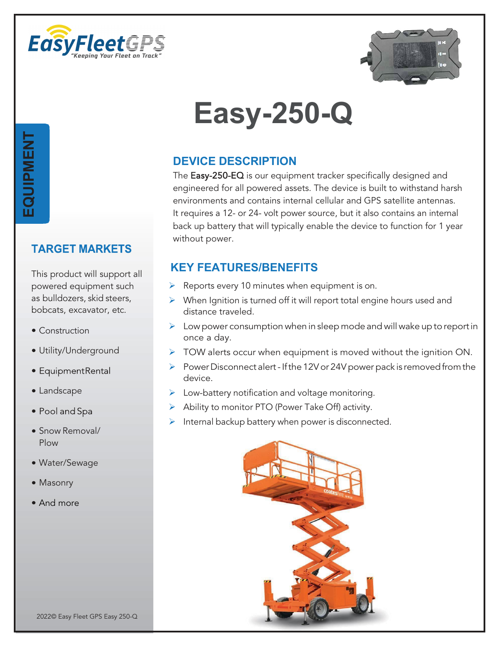



## **TARGET MARKETS**

This product will support all powered equipment such as bulldozers, skid steers, bobcats, excavator, etc.

- Construction
- Utility/Underground
- EquipmentRental
- Landscape
- · Pool and Spa
- Snow Removal/ Plow
- Water/Sewage
- Masonry
- And more

## **Easy-250-Q**

## **DEVICE DESCRIPTION**

The Easy-250-EQ is our equipment tracker specifically designed and engineered for all powered assets. The device is built to withstand harsh environments and contains internal cellular and GPS satellite antennas. It requires a 12- or 24- volt power source, but it also contains an internal back up battery that will typically enable the device to function for 1 year without power.

## **KEY FEATURES/BENEFITS**

- $\triangleright$  Reports every 10 minutes when equipment is on.
- $\triangleright$  When Ignition is turned off it will report total engine hours used and distance traveled.
- $\triangleright$  Low power consumption when in sleep mode and will wake up to report in once a day.
- $\triangleright$  TOW alerts occur when equipment is moved without the ignition ON.
- Power Disconnect alert If the 12V or 24V power pack is removed from the device.
- $\triangleright$  Low-battery notification and voltage monitoring.
- $\triangleright$  Ability to monitor PTO (Power Take Off) activity.
- $\triangleright$  Internal backup battery when power is disconnected.